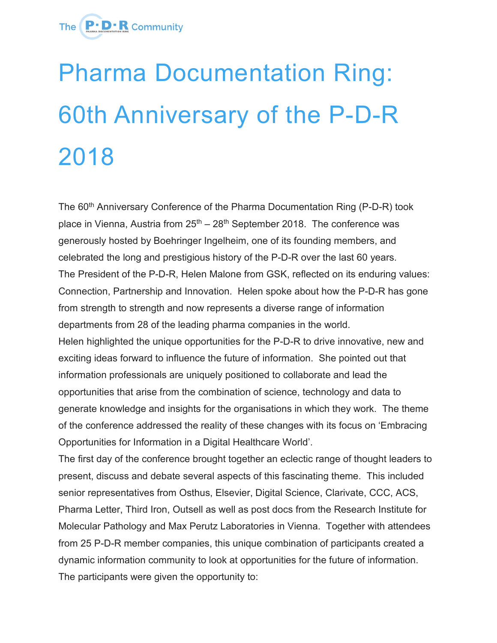

## Pharma Documentation Ring: 60th Anniversary of the P-D-R 2018

The 60<sup>th</sup> Anniversary Conference of the Pharma Documentation Ring (P-D-R) took place in Vienna, Austria from  $25<sup>th</sup> - 28<sup>th</sup>$  September 2018. The conference was generously hosted by Boehringer Ingelheim, one of its founding members, and celebrated the long and prestigious history of the P-D-R over the last 60 years. The President of the P-D-R, Helen Malone from GSK, reflected on its enduring values: Connection, Partnership and Innovation. Helen spoke about how the P-D-R has gone from strength to strength and now represents a diverse range of information departments from 28 of the leading pharma companies in the world. Helen highlighted the unique opportunities for the P-D-R to drive innovative, new and exciting ideas forward to influence the future of information. She pointed out that information professionals are uniquely positioned to collaborate and lead the opportunities that arise from the combination of science, technology and data to generate knowledge and insights for the organisations in which they work. The theme of the conference addressed the reality of these changes with its focus on 'Embracing Opportunities for Information in a Digital Healthcare World'.

The first day of the conference brought together an eclectic range of thought leaders to present, discuss and debate several aspects of this fascinating theme. This included senior representatives from Osthus, Elsevier, Digital Science, Clarivate, CCC, ACS, Pharma Letter, Third Iron, Outsell as well as post docs from the Research Institute for Molecular Pathology and Max Perutz Laboratories in Vienna. Together with attendees from 25 P-D-R member companies, this unique combination of participants created a dynamic information community to look at opportunities for the future of information. The participants were given the opportunity to: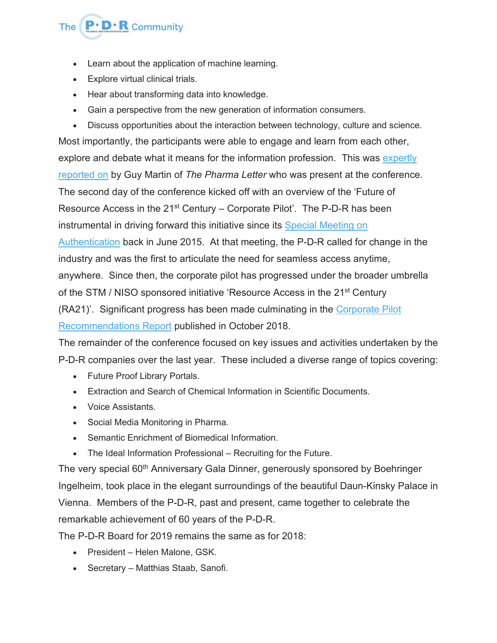

- Learn about the application of machine learning.
- Explore virtual clinical trials.
- Hear about transforming data into knowledge.
- Gain a perspective from the new generation of information consumers.
- Discuss opportunities about the interaction between technology, culture and science.

Most importantly, the participants were able to engage and learn from each other, explore and debate what it means for the information profession. This was [expertly](https://www.thepharmaletter.com/article/the-information-challenge-the-questions-being-addressed-by-pharma-s-innovative-knowledge-managers-embody-those-facing-their-industry-as-a-whole) [reported](https://www.thepharmaletter.com/article/the-information-challenge-the-questions-being-addressed-by-pharma-s-innovative-knowledge-managers-embody-those-facing-their-industry-as-a-whole) on by Guy Martin of *The Pharma Letter* who was present at the conference. The second day of the conference kicked off with an overview of the 'Future of Resource Access in the  $21^{st}$  Century – Corporate Pilot'. The P-D-R has been instrumental in driving forward this initiative since its Special [Meeting](https://p-d-r.com/news/the-p-d-r-hosts-a-special-meeting-2015/) on [Authentication](https://p-d-r.com/news/the-p-d-r-hosts-a-special-meeting-2015/) back in June 2015. At that meeting, the P-D-R called for change in the industry and was the first to articulate the need for seamless access anytime, anywhere. Since then, the corporate pilot has progressed under the broader umbrella of the STM / NISO sponsored initiative 'Resource Access in the 21<sup>st</sup> Century (RA21)'. Significant progress has been made culminating in the [Corporate](https://ra21.org/index.php/results/ra21-corporate-pilot-final-report-september-2018/) Pilot [Recommendations](https://ra21.org/index.php/results/ra21-corporate-pilot-final-report-september-2018/) Report published in October 2018.

The remainder of the conference focused on key issues and activities undertaken by the P-D-R companies over the last year. These included a diverse range of topics covering:

- Future Proof Library Portals.
- Extraction and Search of Chemical Information in Scientific Documents.
- Voice Assistants.
- Social Media Monitoring in Pharma.
- Semantic Enrichment of Biomedical Information.
- The Ideal Information Professional Recruiting for the Future.

The very special 60<sup>th</sup> Anniversary Gala Dinner, generously sponsored by Boehringer Ingelheim, took place in the elegant surroundings of the beautiful Daun-Kinsky Palace in Vienna. Members of the P-D-R, past and present, came together to celebrate the remarkable achievement of 60 years of the P-D-R.

The P-D-R Board for 2019 remains the same as for 2018:

- President Helen Malone, GSK.
- Secretary Matthias Staab, Sanofi.